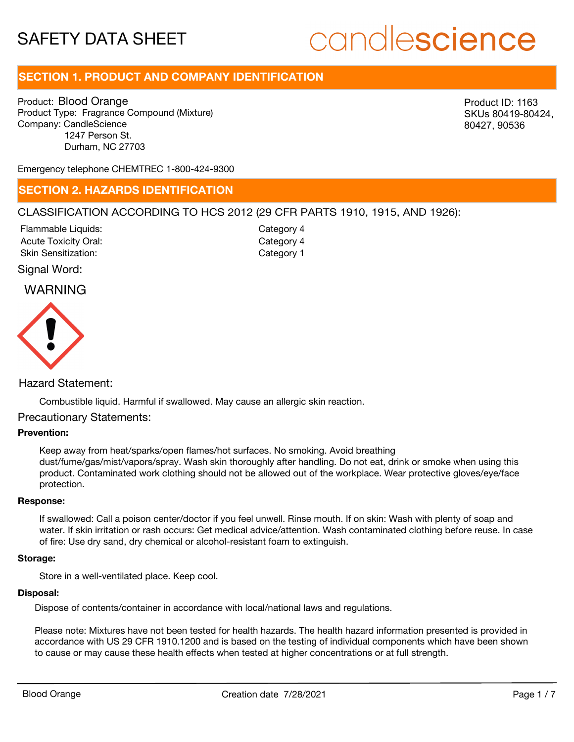# candlescience

# **SECTION 1. PRODUCT AND COMPANY IDENTIFICATION**

Product: Blood Orange Product Type: Fragrance Compound (Mixture) Company: CandleScience 1247 Person St. Durham, NC 27703

Product ID: 1163 SKUs 80419-80424, 80427, 90536

Emergency telephone CHEMTREC 1-800-424-9300

# **SECTION 2. HAZARDS IDENTIFICATION**

# CLASSIFICATION ACCORDING TO HCS 2012 (29 CFR PARTS 1910, 1915, AND 1926):

Acute Toxicity Oral: Skin Sensitization: Flammable Liquids:

Category 4 Category 1 Category 4

# Signal Word:

# WARNING



# Hazard Statement:

Combustible liquid. Harmful if swallowed. May cause an allergic skin reaction.

# Precautionary Statements:

# **Prevention:**

Keep away from heat/sparks/open flames/hot surfaces. No smoking. Avoid breathing dust/fume/gas/mist/vapors/spray. Wash skin thoroughly after handling. Do not eat, drink or smoke when using this product. Contaminated work clothing should not be allowed out of the workplace. Wear protective gloves/eye/face protection.

#### **Response:**

If swallowed: Call a poison center/doctor if you feel unwell. Rinse mouth. If on skin: Wash with plenty of soap and water. If skin irritation or rash occurs: Get medical advice/attention. Wash contaminated clothing before reuse. In case of fire: Use dry sand, dry chemical or alcohol-resistant foam to extinguish.

#### **Storage:**

Store in a well-ventilated place. Keep cool.

#### **Disposal:**

Dispose of contents/container in accordance with local/national laws and regulations.

Please note: Mixtures have not been tested for health hazards. The health hazard information presented is provided in accordance with US 29 CFR 1910.1200 and is based on the testing of individual components which have been shown to cause or may cause these health effects when tested at higher concentrations or at full strength.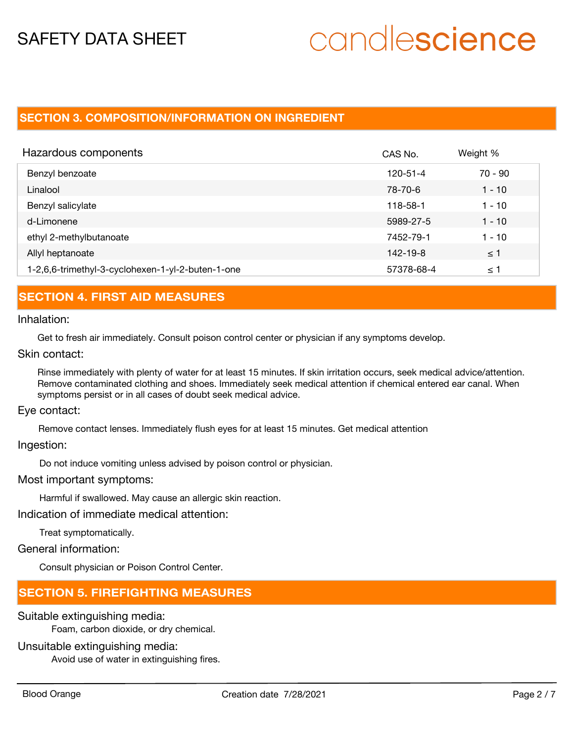# candlescience

# **SECTION 3. COMPOSITION/INFORMATION ON INGREDIENT**

| Hazardous components                              | CAS No.    | Weight %  |
|---------------------------------------------------|------------|-----------|
| Benzyl benzoate                                   | 120-51-4   | $70 - 90$ |
| Linalool                                          | 78-70-6    | $1 - 10$  |
| Benzyl salicylate                                 | 118-58-1   | $1 - 10$  |
| d-Limonene                                        | 5989-27-5  | $1 - 10$  |
| ethyl 2-methylbutanoate                           | 7452-79-1  | $1 - 10$  |
| Allyl heptanoate                                  | 142-19-8   | $\leq$ 1  |
| 1-2,6,6-trimethyl-3-cyclohexen-1-yl-2-buten-1-one | 57378-68-4 | ≤ 1       |

# **SECTION 4. FIRST AID MEASURES**

### Inhalation:

Get to fresh air immediately. Consult poison control center or physician if any symptoms develop.

Skin contact:

Rinse immediately with plenty of water for at least 15 minutes. If skin irritation occurs, seek medical advice/attention. Remove contaminated clothing and shoes. Immediately seek medical attention if chemical entered ear canal. When symptoms persist or in all cases of doubt seek medical advice.

Eye contact:

Remove contact lenses. Immediately flush eyes for at least 15 minutes. Get medical attention

Ingestion:

Do not induce vomiting unless advised by poison control or physician.

Most important symptoms:

Harmful if swallowed. May cause an allergic skin reaction.

Indication of immediate medical attention:

Treat symptomatically.

General information:

Consult physician or Poison Control Center.

# **SECTION 5. FIREFIGHTING MEASURES**

### Suitable extinguishing media:

Foam, carbon dioxide, or dry chemical.

# Unsuitable extinguishing media:

Avoid use of water in extinguishing fires.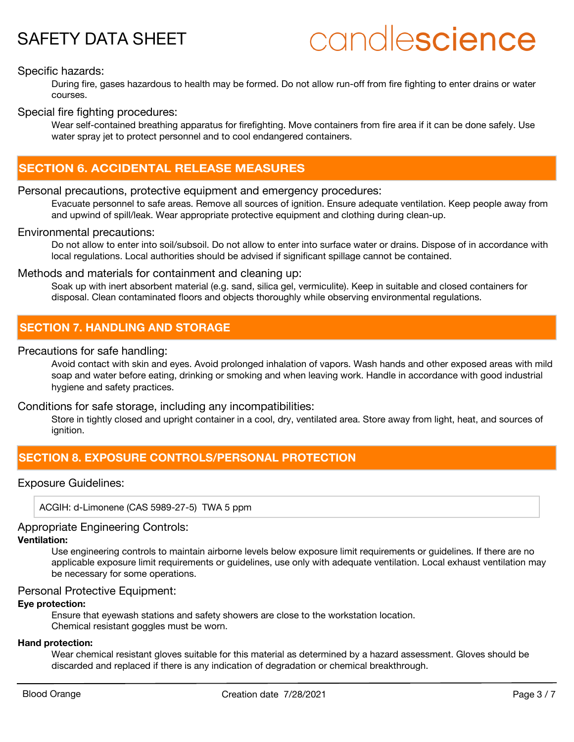# candlescience

# Specific hazards:

During fire, gases hazardous to health may be formed. Do not allow run-off from fire fighting to enter drains or water courses.

# Special fire fighting procedures:

Wear self-contained breathing apparatus for firefighting. Move containers from fire area if it can be done safely. Use water spray jet to protect personnel and to cool endangered containers.

# **SECTION 6. ACCIDENTAL RELEASE MEASURES**

# Personal precautions, protective equipment and emergency procedures:

Evacuate personnel to safe areas. Remove all sources of ignition. Ensure adequate ventilation. Keep people away from and upwind of spill/leak. Wear appropriate protective equipment and clothing during clean-up.

# Environmental precautions:

Do not allow to enter into soil/subsoil. Do not allow to enter into surface water or drains. Dispose of in accordance with local regulations. Local authorities should be advised if significant spillage cannot be contained.

# Methods and materials for containment and cleaning up:

Soak up with inert absorbent material (e.g. sand, silica gel, vermiculite). Keep in suitable and closed containers for disposal. Clean contaminated floors and objects thoroughly while observing environmental regulations.

# **SECTION 7. HANDLING AND STORAGE**

# Precautions for safe handling:

Avoid contact with skin and eyes. Avoid prolonged inhalation of vapors. Wash hands and other exposed areas with mild soap and water before eating, drinking or smoking and when leaving work. Handle in accordance with good industrial hygiene and safety practices.

Conditions for safe storage, including any incompatibilities:

Store in tightly closed and upright container in a cool, dry, ventilated area. Store away from light, heat, and sources of ianition.

# **SECTION 8. EXPOSURE CONTROLS/PERSONAL PROTECTION**

# Exposure Guidelines:

ACGIH: d-Limonene (CAS 5989-27-5) TWA 5 ppm

# Appropriate Engineering Controls:

# **Ventilation:**

Use engineering controls to maintain airborne levels below exposure limit requirements or guidelines. If there are no applicable exposure limit requirements or guidelines, use only with adequate ventilation. Local exhaust ventilation may be necessary for some operations.

### Personal Protective Equipment:

## **Eye protection:**

Ensure that eyewash stations and safety showers are close to the workstation location. Chemical resistant goggles must be worn.

### **Hand protection:**

Wear chemical resistant gloves suitable for this material as determined by a hazard assessment. Gloves should be discarded and replaced if there is any indication of degradation or chemical breakthrough.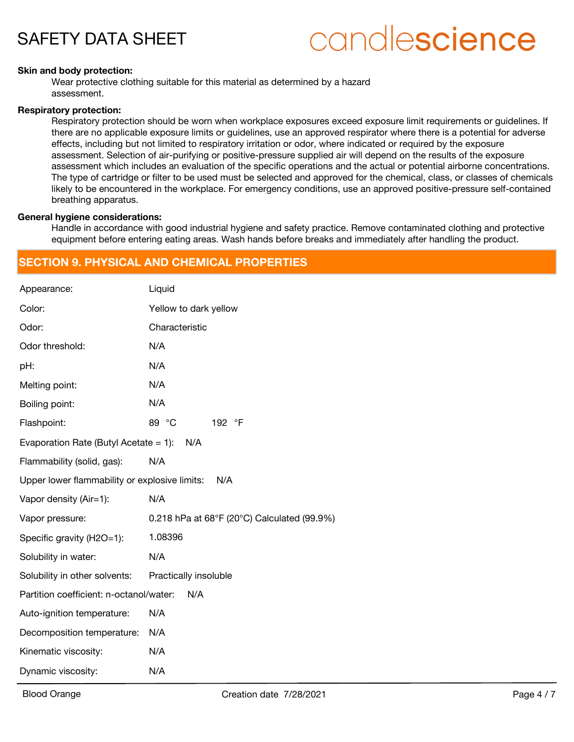# candlescience

#### **Skin and body protection:**

Wear protective clothing suitable for this material as determined by a hazard assessment.

#### **Respiratory protection:**

Respiratory protection should be worn when workplace exposures exceed exposure limit requirements or guidelines. If there are no applicable exposure limits or guidelines, use an approved respirator where there is a potential for adverse effects, including but not limited to respiratory irritation or odor, where indicated or required by the exposure assessment. Selection of air-purifying or positive-pressure supplied air will depend on the results of the exposure assessment which includes an evaluation of the specific operations and the actual or potential airborne concentrations. The type of cartridge or filter to be used must be selected and approved for the chemical, class, or classes of chemicals likely to be encountered in the workplace. For emergency conditions, use an approved positive-pressure self-contained breathing apparatus.

#### **General hygiene considerations:**

Handle in accordance with good industrial hygiene and safety practice. Remove contaminated clothing and protective equipment before entering eating areas. Wash hands before breaks and immediately after handling the product.

# **SECTION 9. PHYSICAL AND CHEMICAL PROPERTIES**

| Appearance:                                          | Liquid                                      |  |  |  |
|------------------------------------------------------|---------------------------------------------|--|--|--|
| Color:                                               | Yellow to dark yellow                       |  |  |  |
| Odor:                                                | Characteristic                              |  |  |  |
| Odor threshold:                                      | N/A                                         |  |  |  |
| pH:                                                  | N/A                                         |  |  |  |
| Melting point:                                       | N/A                                         |  |  |  |
| Boiling point:                                       | N/A                                         |  |  |  |
| Flashpoint:                                          | 89 °C<br>192 °F                             |  |  |  |
| Evaporation Rate (Butyl Acetate = 1):<br>N/A         |                                             |  |  |  |
| Flammability (solid, gas):                           | N/A                                         |  |  |  |
| Upper lower flammability or explosive limits:<br>N/A |                                             |  |  |  |
| Vapor density (Air=1):                               | N/A                                         |  |  |  |
| Vapor pressure:                                      | 0.218 hPa at 68°F (20°C) Calculated (99.9%) |  |  |  |
| Specific gravity (H2O=1):                            | 1.08396                                     |  |  |  |
| Solubility in water:                                 | N/A                                         |  |  |  |
| Solubility in other solvents:                        | Practically insoluble                       |  |  |  |
| Partition coefficient: n-octanol/water:              | N/A                                         |  |  |  |
| Auto-ignition temperature:                           | N/A                                         |  |  |  |
| Decomposition temperature:                           | N/A                                         |  |  |  |
| Kinematic viscosity:                                 | N/A                                         |  |  |  |
| Dynamic viscosity:                                   | N/A                                         |  |  |  |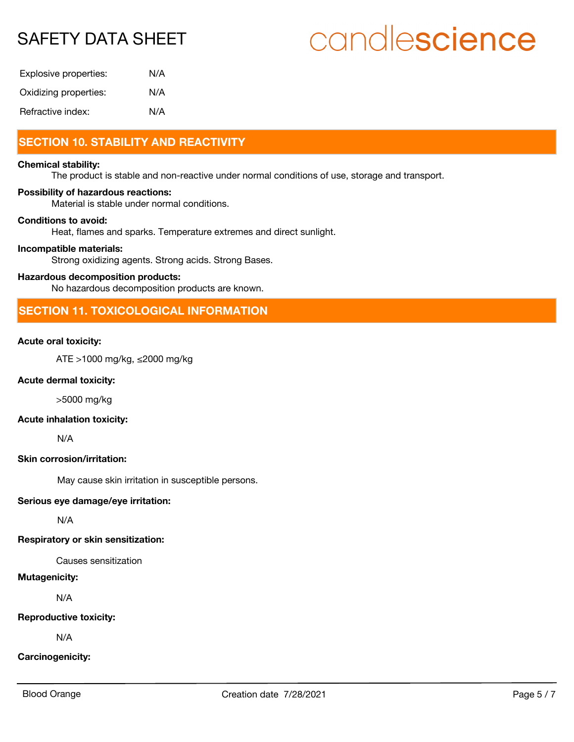# candlescience

| Explosive properties: | N/A |
|-----------------------|-----|
| Oxidizing properties: | N/A |
| Refractive index:     | N/A |

# **SECTION 10. STABILITY AND REACTIVITY**

#### **Chemical stability:**

The product is stable and non-reactive under normal conditions of use, storage and transport.

#### **Possibility of hazardous reactions:**

Material is stable under normal conditions.

# **Conditions to avoid:**

Heat, flames and sparks. Temperature extremes and direct sunlight.

#### **Incompatible materials:**

Strong oxidizing agents. Strong acids. Strong Bases.

### **Hazardous decomposition products:**

No hazardous decomposition products are known.

# **SECTION 11. TOXICOLOGICAL INFORMATION**

### **Acute oral toxicity:**

ATE >1000 mg/kg, ≤2000 mg/kg

#### **Acute dermal toxicity:**

>5000 mg/kg

#### **Acute inhalation toxicity:**

N/A

# **Skin corrosion/irritation:**

May cause skin irritation in susceptible persons.

## **Serious eye damage/eye irritation:**

N/A

### **Respiratory or skin sensitization:**

Causes sensitization

# **Mutagenicity:**

N/A

### **Reproductive toxicity:**

N/A

## **Carcinogenicity:**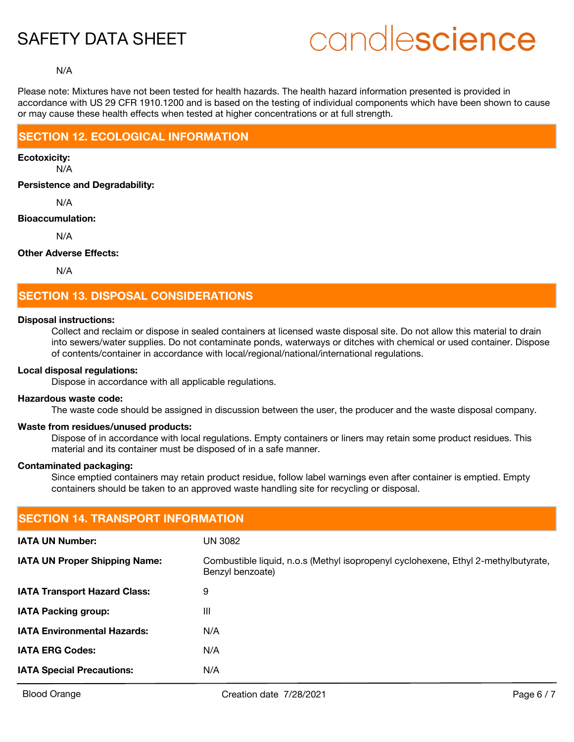# candlescience

#### N/A

Please note: Mixtures have not been tested for health hazards. The health hazard information presented is provided in accordance with US 29 CFR 1910.1200 and is based on the testing of individual components which have been shown to cause or may cause these health effects when tested at higher concentrations or at full strength.

# **SECTION 12. ECOLOGICAL INFORMATION**

N/A **Ecotoxicity:**

**Persistence and Degradability:**

N/A

## **Bioaccumulation:**

N/A

# **Other Adverse Effects:**

N/A

# **SECTION 13. DISPOSAL CONSIDERATIONS**

#### **Disposal instructions:**

Collect and reclaim or dispose in sealed containers at licensed waste disposal site. Do not allow this material to drain into sewers/water supplies. Do not contaminate ponds, waterways or ditches with chemical or used container. Dispose of contents/container in accordance with local/regional/national/international regulations.

## **Local disposal regulations:**

Dispose in accordance with all applicable regulations.

### **Hazardous waste code:**

The waste code should be assigned in discussion between the user, the producer and the waste disposal company.

## **Waste from residues/unused products:**

Dispose of in accordance with local regulations. Empty containers or liners may retain some product residues. This material and its container must be disposed of in a safe manner.

#### **Contaminated packaging:**

Since emptied containers may retain product residue, follow label warnings even after container is emptied. Empty containers should be taken to an approved waste handling site for recycling or disposal.

| <b>SECTION 14. TRANSPORT INFORMATION</b> |                                                                                                        |  |  |
|------------------------------------------|--------------------------------------------------------------------------------------------------------|--|--|
| <b>IATA UN Number:</b>                   | <b>UN 3082</b>                                                                                         |  |  |
| <b>IATA UN Proper Shipping Name:</b>     | Combustible liquid, n.o.s (Methyl isopropenyl cyclohexene, Ethyl 2-methylbutyrate,<br>Benzyl benzoate) |  |  |
| <b>IATA Transport Hazard Class:</b>      | 9                                                                                                      |  |  |
| <b>IATA Packing group:</b>               | Ш                                                                                                      |  |  |
| <b>IATA Environmental Hazards:</b>       | N/A                                                                                                    |  |  |
| <b>IATA ERG Codes:</b>                   | N/A                                                                                                    |  |  |
| <b>IATA Special Precautions:</b>         | N/A                                                                                                    |  |  |